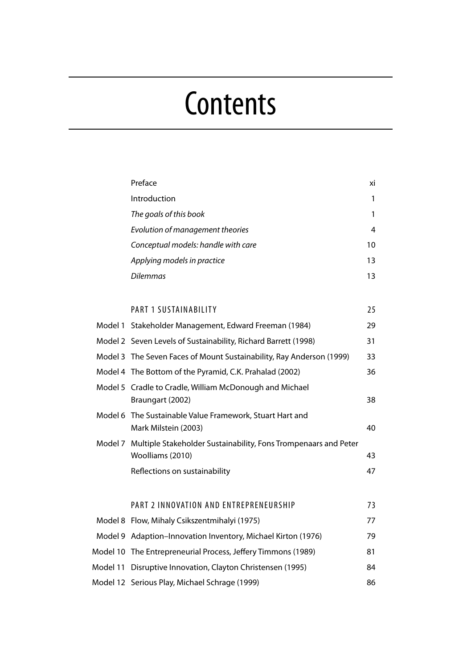# **Contents**

| Preface                                                                                     | хi |
|---------------------------------------------------------------------------------------------|----|
| Introduction                                                                                | 1  |
| The goals of this book                                                                      | 1  |
| Evolution of management theories                                                            | 4  |
| Conceptual models: handle with care                                                         | 10 |
| Applying models in practice                                                                 | 13 |
| Dilemmas                                                                                    | 13 |
|                                                                                             |    |
| PART 1 SUSTAINABILITY                                                                       | 25 |
| Model 1 Stakeholder Management, Edward Freeman (1984)                                       | 29 |
| Model 2 Seven Levels of Sustainability, Richard Barrett (1998)                              | 31 |
| Model 3 The Seven Faces of Mount Sustainability, Ray Anderson (1999)                        | 33 |
| Model 4 The Bottom of the Pyramid, C.K. Prahalad (2002)                                     | 36 |
| Model 5 Cradle to Cradle, William McDonough and Michael<br>Braungart (2002)                 | 38 |
| Model 6 The Sustainable Value Framework, Stuart Hart and<br>Mark Milstein (2003)            | 40 |
| Model 7 Multiple Stakeholder Sustainability, Fons Trompenaars and Peter<br>Woolliams (2010) | 43 |
| Reflections on sustainability                                                               | 47 |
| PART 2 INNOVATION AND ENTREPRENEURSHIP                                                      | 73 |
| Model 8 Flow, Mihaly Csikszentmihalyi (1975)                                                | 77 |
| Model 9 Adaption-Innovation Inventory, Michael Kirton (1976)                                | 79 |
| Model 10 The Entrepreneurial Process, Jeffery Timmons (1989)                                | 81 |
| Model 11 Disruptive Innovation, Clayton Christensen (1995)                                  | 84 |
| Model 12 Serious Play, Michael Schrage (1999)                                               | 86 |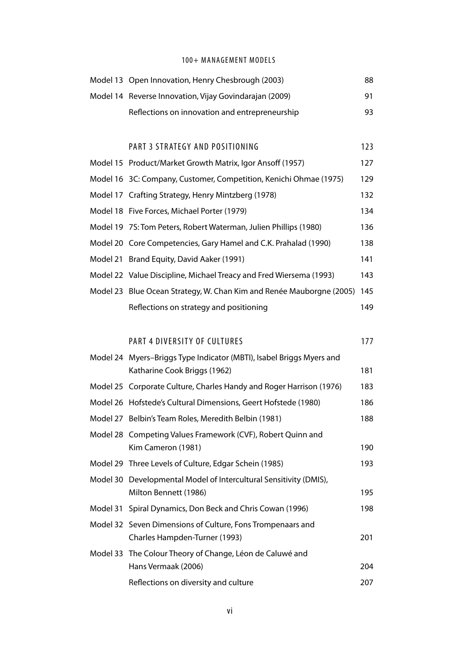### 100+ MANAGEMENT MODELS

| Model 13 Open Innovation, Henry Chesbrough (2003)      | 88 |
|--------------------------------------------------------|----|
| Model 14 Reverse Innovation, Vijay Govindarajan (2009) | 91 |
| Reflections on innovation and entrepreneurship         | 93 |

## PART 3 STRATEGY AND POSITIONING 123

| Model 15 Product/Market Growth Matrix, Igor Ansoff (1957)                | 127 |
|--------------------------------------------------------------------------|-----|
| Model 16 3C: Company, Customer, Competition, Kenichi Ohmae (1975)        | 129 |
| Model 17 Crafting Strategy, Henry Mintzberg (1978)                       | 132 |
| Model 18 Five Forces, Michael Porter (1979)                              | 134 |
| Model 19 7S: Tom Peters, Robert Waterman, Julien Phillips (1980)         | 136 |
| Model 20 Core Competencies, Gary Hamel and C.K. Prahalad (1990)          | 138 |
| Model 21 Brand Equity, David Aaker (1991)                                | 141 |
| Model 22 Value Discipline, Michael Treacy and Fred Wiersema (1993)       | 143 |
| Model 23 Blue Ocean Strategy, W. Chan Kim and Renée Mauborgne (2005) 145 |     |
| Reflections on strategy and positioning                                  | 149 |

#### PART 4 DIVERSITY OF CULTURES 177

Model 24 Myers–Briggs Type Indicator (MBTI), Isabel Briggs Myers and Katharine Cook Briggs (1962) 181 Model 25 Corporate Culture, Charles Handy and Roger Harrison (1976) 183 Model 26 Hofstede's Cultural Dimensions, Geert Hofstede (1980) 186 Model 27 Belbin's Team Roles, Meredith Belbin (1981) 188 Model 28 Competing Values Framework (CVF), Robert Quinn and Kim Cameron (1981) 190 Model 29 Three Levels of Culture, Edgar Schein (1985) 193 Model 30 Developmental Model of Intercultural Sensitivity (DMIS), Milton Bennett (1986) 195 Model 31 Spiral Dynamics, Don Beck and Chris Cowan (1996) 198 Model 32 Seven Dimensions of Culture, Fons Trompenaars and Charles Hampden-Turner (1993) 201 Model 33 The Colour Theory of Change, Léon de Caluwé and Hans Vermaak (2006) 204 Reflections on diversity and culture 207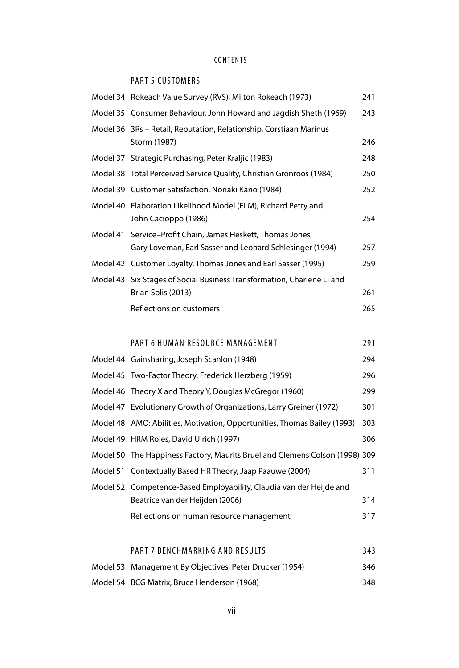## CONTENTS

## PART 5 CUSTOMERS

| Model 34 Rokeach Value Survey (RVS), Milton Rokeach (1973)                                                              | 241 |
|-------------------------------------------------------------------------------------------------------------------------|-----|
| Model 35 Consumer Behaviour, John Howard and Jagdish Sheth (1969)                                                       | 243 |
| Model 36 3Rs – Retail, Reputation, Relationship, Corstiaan Marinus<br>Storm (1987)                                      | 246 |
| Model 37 Strategic Purchasing, Peter Kraljic (1983)                                                                     | 248 |
| Model 38 Total Perceived Service Quality, Christian Grönroos (1984)                                                     | 250 |
| Model 39 Customer Satisfaction, Noriaki Kano (1984)                                                                     | 252 |
| Model 40 Elaboration Likelihood Model (ELM), Richard Petty and<br>John Cacioppo (1986)                                  | 254 |
| Model 41 Service-Profit Chain, James Heskett, Thomas Jones,<br>Gary Loveman, Earl Sasser and Leonard Schlesinger (1994) | 257 |
| Model 42 Customer Loyalty, Thomas Jones and Earl Sasser (1995)                                                          | 259 |
| Model 43 Six Stages of Social Business Transformation, Charlene Li and                                                  |     |
| Brian Solis (2013)                                                                                                      | 261 |
| Reflections on customers                                                                                                | 265 |
|                                                                                                                         |     |

## PART 6 HUMAN RESOURCE MANAGEMENT 291 Model 44 Gainsharing, Joseph Scanlon (1948) 294 Model 45 Two-Factor Theory, Frederick Herzberg (1959) 296 Model 46 Theory X and Theory Y, Douglas McCregor (1969) 200

| Model 46 Theory X and Theory Y, Douglas McGregor (1960)                     | 299 |
|-----------------------------------------------------------------------------|-----|
| Model 47 Evolutionary Growth of Organizations, Larry Greiner (1972)         | 301 |
| Model 48 AMO: Abilities, Motivation, Opportunities, Thomas Bailey (1993)    | 303 |
| Model 49 HRM Roles, David Ulrich (1997)                                     | 306 |
| Model 50 The Happiness Factory, Maurits Bruel and Clemens Colson (1998) 309 |     |
| Model 51 Contextually Based HR Theory, Jaap Paauwe (2004)                   | 311 |
| Model 52 Competence-Based Employability, Claudia van der Heijde and         |     |
| Beatrice van der Heijden (2006)                                             | 314 |
| Reflections on human resource management                                    | 317 |

## PART 7 BENCHMARKING AND RESULTS 343

Model 53 Management By Objectives, Peter Drucker (1954) 346 Model 54 BCG Matrix, Bruce Henderson (1968) 348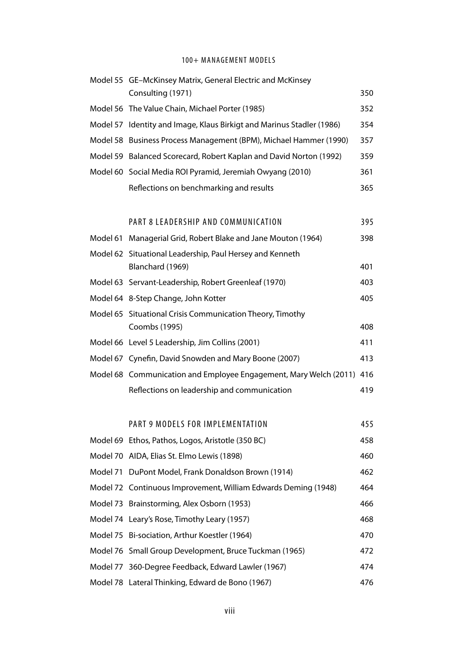## 100+ MANAGEMENT MODELS

|          | Model 55 GE-McKinsey Matrix, General Electric and McKinsey<br>Consulting (1971) | 350 |
|----------|---------------------------------------------------------------------------------|-----|
|          | Model 56 The Value Chain, Michael Porter (1985)                                 | 352 |
|          | Model 57 Identity and Image, Klaus Birkigt and Marinus Stadler (1986)           | 354 |
|          | Model 58 Business Process Management (BPM), Michael Hammer (1990)               | 357 |
|          | Model 59 Balanced Scorecard, Robert Kaplan and David Norton (1992)              | 359 |
|          | Model 60 Social Media ROI Pyramid, Jeremiah Owyang (2010)                       | 361 |
|          | Reflections on benchmarking and results                                         | 365 |
|          |                                                                                 |     |
|          | PART 8 LEADERSHIP AND COMMUNICATION                                             | 395 |
| Model 61 | Managerial Grid, Robert Blake and Jane Mouton (1964)                            | 398 |
|          | Model 62 Situational Leadership, Paul Hersey and Kenneth                        |     |
|          | Blanchard (1969)                                                                | 401 |
|          | Model 63 Servant-Leadership, Robert Greenleaf (1970)                            | 403 |
|          | Model 64 8-Step Change, John Kotter                                             | 405 |
|          | Model 65 Situational Crisis Communication Theory, Timothy                       |     |
|          | Coombs (1995)                                                                   | 408 |
|          | Model 66 Level 5 Leadership, Jim Collins (2001)                                 | 411 |
|          | Model 67 Cynefin, David Snowden and Mary Boone (2007)                           | 413 |
|          | Model 68 Communication and Employee Engagement, Mary Welch (2011) 416           |     |
|          | Reflections on leadership and communication                                     | 419 |
|          |                                                                                 |     |
|          | PART 9 MODELS FOR IMPLEMENTATION                                                | 455 |
|          | Model 69 Ethos, Pathos, Logos, Aristotle (350 BC)                               | 458 |
|          | Model 70 AIDA, Elias St. Elmo Lewis (1898)                                      | 460 |
|          | Model 71 DuPont Model, Frank Donaldson Brown (1914)                             | 462 |
|          | Model 72 Continuous Improvement, William Edwards Deming (1948)                  | 464 |
|          | Model 73 Brainstorming, Alex Osborn (1953)                                      | 466 |
|          | Model 74 Leary's Rose, Timothy Leary (1957)                                     | 468 |
|          | Model 75 Bi-sociation, Arthur Koestler (1964)                                   | 470 |
|          | Model 76 Small Group Development, Bruce Tuckman (1965)                          | 472 |
|          | Model 77 360-Degree Feedback, Edward Lawler (1967)                              | 474 |

Model 78 Lateral Thinking, Edward de Bono (1967) 476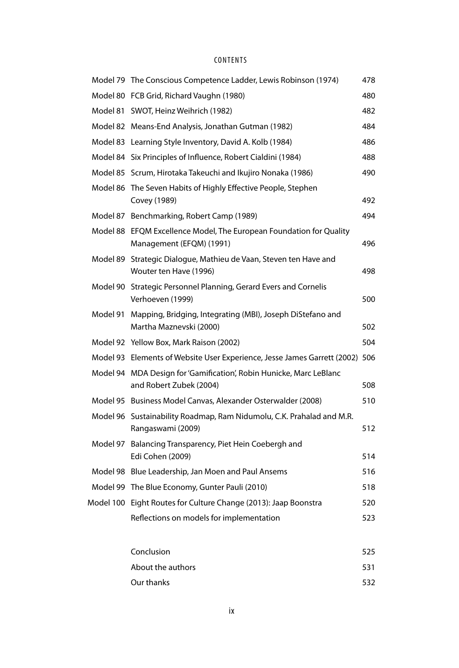## CONTENTS

|          | Model 79 The Conscious Competence Ladder, Lewis Robinson (1974)                                 | 478 |
|----------|-------------------------------------------------------------------------------------------------|-----|
|          | Model 80 FCB Grid, Richard Vaughn (1980)                                                        | 480 |
| Model 81 | SWOT, Heinz Weihrich (1982)                                                                     | 482 |
|          | Model 82 Means-End Analysis, Jonathan Gutman (1982)                                             | 484 |
| Model 83 | Learning Style Inventory, David A. Kolb (1984)                                                  | 486 |
|          | Model 84 Six Principles of Influence, Robert Cialdini (1984)                                    | 488 |
|          | Model 85 Scrum, Hirotaka Takeuchi and Ikujiro Nonaka (1986)                                     | 490 |
| Model 86 | The Seven Habits of Highly Effective People, Stephen<br>Covey (1989)                            | 492 |
|          | Model 87 Benchmarking, Robert Camp (1989)                                                       | 494 |
|          | Model 88 EFQM Excellence Model, The European Foundation for Quality<br>Management (EFQM) (1991) | 496 |
|          | Model 89 Strategic Dialogue, Mathieu de Vaan, Steven ten Have and<br>Wouter ten Have (1996)     | 498 |
|          | Model 90 Strategic Personnel Planning, Gerard Evers and Cornelis<br>Verhoeven (1999)            | 500 |
| Model 91 | Mapping, Bridging, Integrating (MBI), Joseph DiStefano and<br>Martha Maznevski (2000)           | 502 |
|          | Model 92 Yellow Box, Mark Raison (2002)                                                         | 504 |
|          | Model 93 Elements of Website User Experience, Jesse James Garrett (2002) 506                    |     |
| Model 94 | MDA Design for 'Gamification', Robin Hunicke, Marc LeBlanc<br>and Robert Zubek (2004)           | 508 |
|          | Model 95 Business Model Canvas, Alexander Osterwalder (2008)                                    | 510 |
|          | Model 96 Sustainability Roadmap, Ram Nidumolu, C.K. Prahalad and M.R.<br>Rangaswami (2009)      | 512 |
| Model 97 | Balancing Transparency, Piet Hein Coebergh and<br>Edi Cohen (2009)                              | 514 |
|          | Model 98 Blue Leadership, Jan Moen and Paul Ansems                                              | 516 |
|          | Model 99 The Blue Economy, Gunter Pauli (2010)                                                  | 518 |
|          | Model 100 Eight Routes for Culture Change (2013): Jaap Boonstra                                 | 520 |
|          | Reflections on models for implementation                                                        | 523 |
|          | Conclusion                                                                                      | 525 |
|          |                                                                                                 |     |

About the authors 631 Our thanks 532